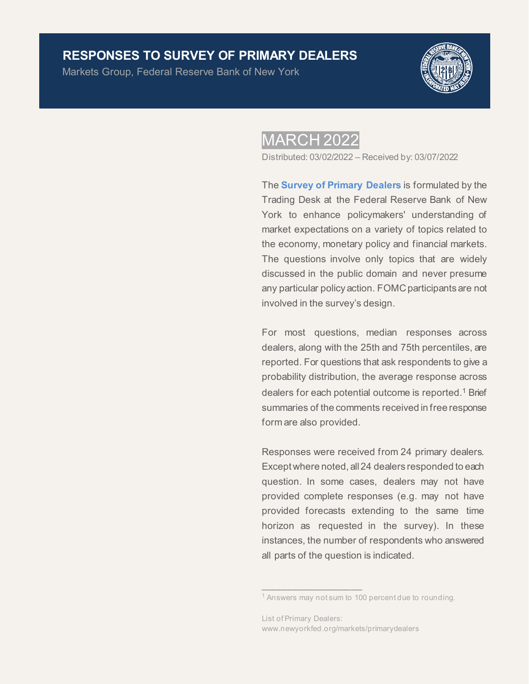### **RESPONSES TO SURVEY OF PRIMARY DEALERS**

Markets Group, Federal Reserve Bank of New York



## **MARCH 2022**

Distributed: 03/02/2022 – Received by: 03/07/2022

The **[Survey of Primary Dealers](https://www.newyorkfed.org/markets/primarydealer_survey_questions.html)** is formulated by the Trading Desk at the Federal Reserve Bank of New York to enhance policymakers' understanding of market expectations on a variety of topics related to the economy, monetary policy and financial markets. The questions involve only topics that are widely discussed in the public domain and never presume any particular policy action. FOMC participants are not involved in the survey's design.

For most questions, median responses across dealers, along with the 25th and 75th percentiles, are reported. For questions that ask respondents to give a probability distribution, the average response across dealers for each potential outcome is reported.<sup>1</sup> Brief summaries of the comments received in free response form are also provided.

Responses were received from 24 primary dealers. Except where noted, all 24 dealers responded to each question. In some cases, dealers may not have provided complete responses (e.g. may not have provided forecasts extending to the same time horizon as requested in the survey). In these instances, the number of respondents who answered all parts of the question is indicated.

 $\overline{\phantom{a}}$  ,  $\overline{\phantom{a}}$  ,  $\overline{\phantom{a}}$  ,  $\overline{\phantom{a}}$  ,  $\overline{\phantom{a}}$  ,  $\overline{\phantom{a}}$  ,  $\overline{\phantom{a}}$  ,  $\overline{\phantom{a}}$  ,  $\overline{\phantom{a}}$  ,  $\overline{\phantom{a}}$  ,  $\overline{\phantom{a}}$  ,  $\overline{\phantom{a}}$  ,  $\overline{\phantom{a}}$  ,  $\overline{\phantom{a}}$  ,  $\overline{\phantom{a}}$  ,  $\overline{\phantom{a}}$ 

<sup>&</sup>lt;sup>1</sup> Answers may not sum to 100 percent due to rounding.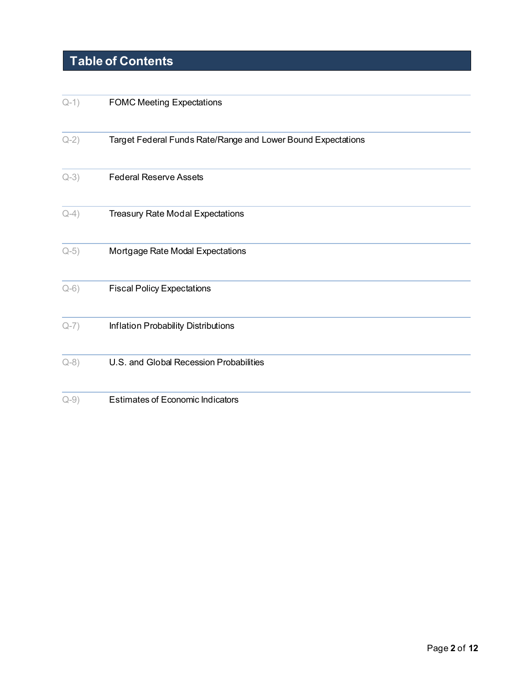# **Table of Contents**

| $Q-1)$ | <b>FOMC Meeting Expectations</b>                             |
|--------|--------------------------------------------------------------|
| $Q-2)$ | Target Federal Funds Rate/Range and Lower Bound Expectations |
| $Q-3)$ | <b>Federal Reserve Assets</b>                                |
| $Q-4)$ | <b>Treasury Rate Modal Expectations</b>                      |
| $Q-5)$ | Mortgage Rate Modal Expectations                             |
| $Q-6)$ | <b>Fiscal Policy Expectations</b>                            |
| $Q-7)$ | Inflation Probability Distributions                          |
| $Q-8)$ | U.S. and Global Recession Probabilities                      |
| $Q-9)$ | <b>Estimates of Economic Indicators</b>                      |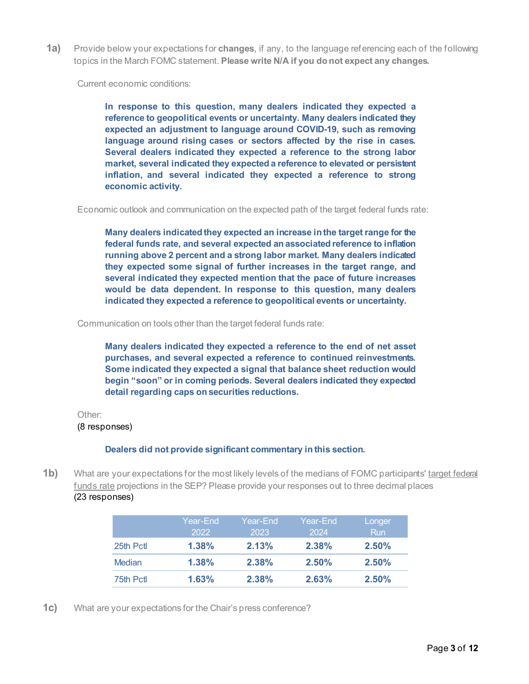<span id="page-2-0"></span>**1a)** Provide below your expectations for **changes**, if any, to the language referencing each of the following topics in the March FOMC statement. **Please write N/A if you do not expect any changes.**

Current economic conditions:

**In response to this question, many dealers indicated they expected a reference to geopolitical events or uncertainty. Many dealers indicated they expected an adjustment to language around COVID-19, such as removing language around rising cases or sectors affected by the rise in cases. Several dealers indicated they expected a reference to the strong labor market, several indicated they expected a reference to elevated or persistent inflation, and several indicated they expected a reference to strong economic activity.**

Economic outlook and communication on the expected path of the target federal funds rate:

**Many dealers indicated they expected an increase in the target range for the federal funds rate, and several expected an associated reference to inflation running above 2 percent and a strong labor market. Many dealers indicated they expected some signal of further increases in the target range, and several indicated they expected mention that the pace of future increases would be data dependent. In response to this question, many dealers indicated they expected a reference to geopolitical events or uncertainty.** 

Communication on tools other than the target federal funds rate:

**Many dealers indicated they expected a reference to the end of net asset purchases, and several expected a reference to continued reinvestments. Some indicated they expected a signal that balance sheet reduction would begin "soon" or in coming periods. Several dealers indicated they expected detail regarding caps on securities reductions.**

#### Other:

#### (8 responses)

#### **Dealers did not provide significant commentary in this section.**

**1b)** What are your expectations for the most likely levels of the medians of FOMC participants' target federal funds rate projections in the SEP? Please provide your responses out to three decimal places (23 responses)

|               | Year-End<br>2022 | Year-End<br>2023 | Year-End<br>2024 | Longer<br><b>Run</b> |
|---------------|------------------|------------------|------------------|----------------------|
| 25th Pctl     | 1.38%            | 2.13%            | 2.38%            | $2.50\%$             |
| <b>Median</b> | $1.38\%$         | 2.38%            | 2.50%            | 2.50%                |
| 75th Pctl     | 1.63%            | 2.38%            | 2.63%            | 2.50%                |

**1c)** What are your expectations for the Chair's press conference?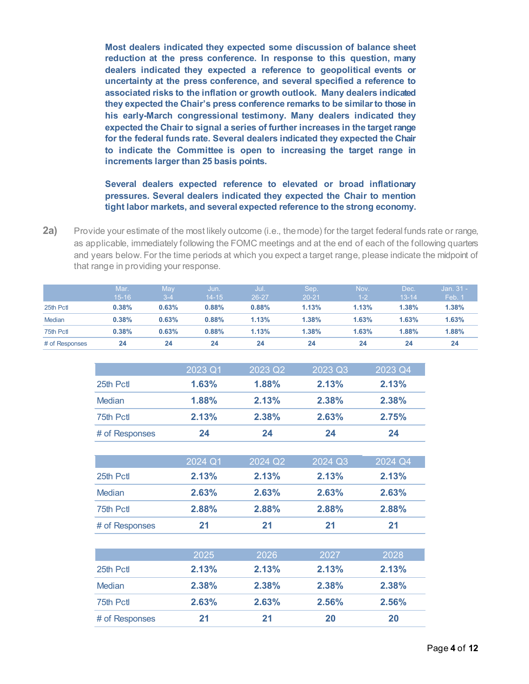**Most dealers indicated they expected some discussion of balance sheet reduction at the press conference. In response to this question, many dealers indicated they expected a reference to geopolitical events or uncertainty at the press conference, and several specified a reference to associated risks to the inflation or growth outlook. Many dealers indicated they expected the Chair's press conference remarks to be similar to those in his early-March congressional testimony. Many dealers indicated they expected the Chair to signal a series of further increases in the target range for the federal funds rate. Several dealers indicated they expected the Chair to indicate the Committee is open to increasing the target range in increments larger than 25 basis points.** 

#### **Several dealers expected reference to elevated or broad inflationary pressures. Several dealers indicated they expected the Chair to mention tight labor markets, and several expected reference to the strong economy.**

<span id="page-3-0"></span>**2a)** Provide your estimate of the most likely outcome (i.e., the mode) for the target federal funds rate or range, as applicable, immediately following the FOMC meetings and at the end of each of the following quarters and years below. For the time periods at which you expect a target range, please indicate the midpoint of that range in providing your response.

|                | Mar.      | Mav   | Jun.      | Jul.  | Sep.      | Nov.    | Dec.      | Jan. 31 - |
|----------------|-----------|-------|-----------|-------|-----------|---------|-----------|-----------|
|                | $15 - 16$ | $3-4$ | $14 - 15$ | 26-27 | $20 - 21$ | $(1-2)$ | $13 - 14$ | Feb. 1    |
| 25th Pctl      | 0.38%     | 0.63% | 0.88%     | 0.88% | 1.13%     | 1.13%   | 1.38%     | 1.38%     |
| <b>Median</b>  | 0.38%     | 0.63% | 0.88%     | 1.13% | 1.38%     | 1.63%   | 1.63%     | 1.63%     |
| 75th Pctl      | 0.38%     | 0.63% | 0.88%     | 1.13% | 1.38%     | 1.63%   | 1.88%     | 1.88%     |
| # of Responses | 24        | 24    | 24        | 24    | 24        | 24      | 24        | 24        |

|                | 2023 Q1 | 2023 Q2 | 2023 Q3 | 2023 Q4 |
|----------------|---------|---------|---------|---------|
| 25th Pctl      | 1.63%   | 1.88%   | 2.13%   | 2.13%   |
| <b>Median</b>  | 1.88%   | 2.13%   | 2.38%   | 2.38%   |
| 75th Pctl      | 2.13%   | 2.38%   | 2.63%   | 2.75%   |
| # of Responses | 24      | 24      | 24      | 24      |
|                | 2024 Q1 | 2024 Q2 | 2024 Q3 | 2024 Q4 |
| 25th Pctl      | 2.13%   | 2.13%   | 2.13%   | 2.13%   |
| Median         | 2.63%   | 2.63%   | 2.63%   | 2.63%   |

| 75th Pctl      | 2.88% | 2.88% | 2.88% | 2.88% |
|----------------|-------|-------|-------|-------|
| # of Responses | 21    |       |       |       |

|                | 2025  | 2026  | 2027  | 2028  |
|----------------|-------|-------|-------|-------|
| 25th Pctl      | 2.13% | 2.13% | 2.13% | 2.13% |
| Median         | 2.38% | 2.38% | 2.38% | 2.38% |
| 75th Pctl      | 2.63% | 2.63% | 2.56% | 2.56% |
| # of Responses | 21    | 21    | 20    | 20    |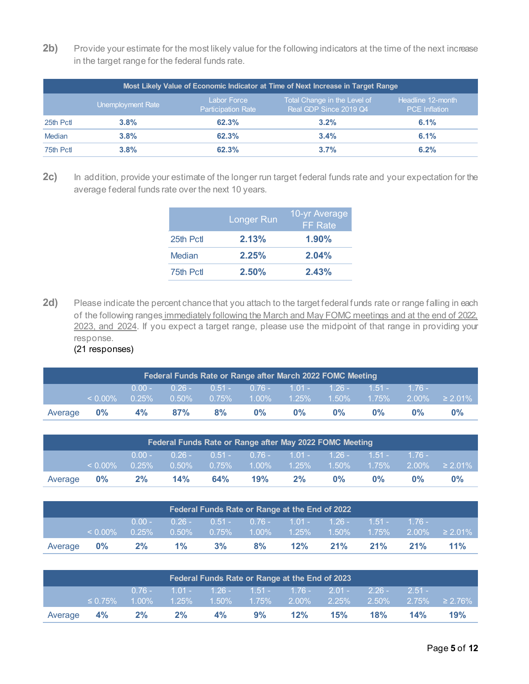2b) Provide your estimate for the most likely value for the following indicators at the time of the next increase in the target range for the federal funds rate.

| Most Likely Value of Economic Indicator at Time of Next Increase in Target Range |                   |                                          |                                                        |                                           |  |  |  |  |  |
|----------------------------------------------------------------------------------|-------------------|------------------------------------------|--------------------------------------------------------|-------------------------------------------|--|--|--|--|--|
|                                                                                  | Unemployment Rate | Labor Force<br><b>Participation Rate</b> | Total Change in the Level of<br>Real GDP Since 2019 Q4 | Headline 12-month<br><b>PCE</b> Inflation |  |  |  |  |  |
| 25th Pct                                                                         | 3.8%              | 62.3%                                    | 3.2%                                                   | 6.1%                                      |  |  |  |  |  |
| Median                                                                           | 3.8%              | 62.3%                                    | 3.4%                                                   | 6.1%                                      |  |  |  |  |  |
| 75th Pctl                                                                        | 3.8%              | 62.3%                                    | 3.7%                                                   | 6.2%                                      |  |  |  |  |  |

**2c)** In addition, provide your estimate of the longer run target federal funds rate and your expectation for the average federal funds rate over the next 10 years.

|           | Longer Run | 10-yr Average<br><b>FF</b> Rate |
|-----------|------------|---------------------------------|
| 25th Pctl | 2.13%      | $1.90\%$                        |
| Median    | 2.25%      | 2.04%                           |
| 75th Pctl | 2.50%      | 2.43%                           |

2d) Please indicate the percent chance that you attach to the target federal funds rate or range falling in each of the following ranges immediately following the March and May FOMC meetings and at the end of 2022, 2023, and 2024. If you expect a target range, please use the midpoint of that range in providing your response. (21 responses)

| Federal Funds Rate or Range after March 2022 FOMC Meeting |            |    |                                                                                       |    |       |       |       |       |       |       |
|-----------------------------------------------------------|------------|----|---------------------------------------------------------------------------------------|----|-------|-------|-------|-------|-------|-------|
|                                                           |            |    | $0.00 - 0.26 - 0.51 - 0.76 - 1.01 - 1.26 - 1.51 - 1.76 -$                             |    |       |       |       |       |       |       |
|                                                           | $< 0.00\%$ |    | $0.25\%$ $0.50\%$ $0.75\%$ $1.00\%$ $1.25\%$ $1.50\%$ $1.75\%$ $2.00\%$ $\geq 2.01\%$ |    |       |       |       |       |       |       |
| Average                                                   | $0\%$      | 4% | 87%                                                                                   | 8% | $0\%$ | $0\%$ | $0\%$ | $0\%$ | $0\%$ | $0\%$ |

| Federal Funds Rate or Range after May 2022 FOMC Meeting |            |          |             |       |                                                       |    |           |          |         |                         |
|---------------------------------------------------------|------------|----------|-------------|-------|-------------------------------------------------------|----|-----------|----------|---------|-------------------------|
|                                                         |            | $0.00 -$ | $-0.26 - 7$ |       | $0.51 - 0.76 - 1.01 - 1.26 - 1.51 -$                  |    |           |          | $-176-$ |                         |
|                                                         | $< 0.00\%$ | $0.25\%$ | $-0.50\%$   | 0.75% | $\begin{array}{ c c c }\n1.00\% & 1.25\% \end{array}$ |    | $-1.50\%$ | $1.75\%$ |         | $12.00\%$ $\geq 2.01\%$ |
| Average                                                 | $0\%$      | 2%       | 14%         | 64%   | 19%                                                   | 2% | $0\%$     | $0\%$    | 0%      | 0%                      |

| Federal Funds Rate or Range at the End of 2022 |            |          |           |          |                               |     |           |           |         |                     |
|------------------------------------------------|------------|----------|-----------|----------|-------------------------------|-----|-----------|-----------|---------|---------------------|
|                                                |            | $0.00 -$ | $0.26 -$  |          | $0.51 - 0.76 - 1.01 - 1.26 -$ |     |           | $-1.51 -$ | $-176-$ |                     |
|                                                | $< 0.00\%$ | 0.25%    | $-0.50\%$ | $0.75\%$ | $1.00\%$ $1.25\%$             |     | $-1.50\%$ | $1.75\%$  |         | $2.00\% \ge 2.01\%$ |
| Average                                        | $0\%$      | 2%       | $1\%$     | 3%       | 8%                            | 12% | 21%       | 21%       | 21%     | 11%                 |

| Federal Funds Rate or Range at the End of 2023 |               |    |                                                           |    |    |     |     |     |     |                                                                                                                                                    |
|------------------------------------------------|---------------|----|-----------------------------------------------------------|----|----|-----|-----|-----|-----|----------------------------------------------------------------------------------------------------------------------------------------------------|
|                                                |               |    | $0.76 - 1.01 - 1.26 - 1.51 - 1.76 - 2.01 - 2.26 - 2.51 -$ |    |    |     |     |     |     |                                                                                                                                                    |
|                                                | $\leq 0.75\%$ |    |                                                           |    |    |     |     |     |     | $\frac{1\,1.00\% \qquad 1.25\% \qquad 1.50\% \qquad 1.75\% \qquad 2.00\% \qquad 2.25\% \qquad 2.50\% \qquad 2.75\% \qquad \geq 2.76\% \quad \, \}$ |
| Average 4%                                     |               | 2% | 2%                                                        | 4% | 9% | 12% | 15% | 18% | 14% | 19%                                                                                                                                                |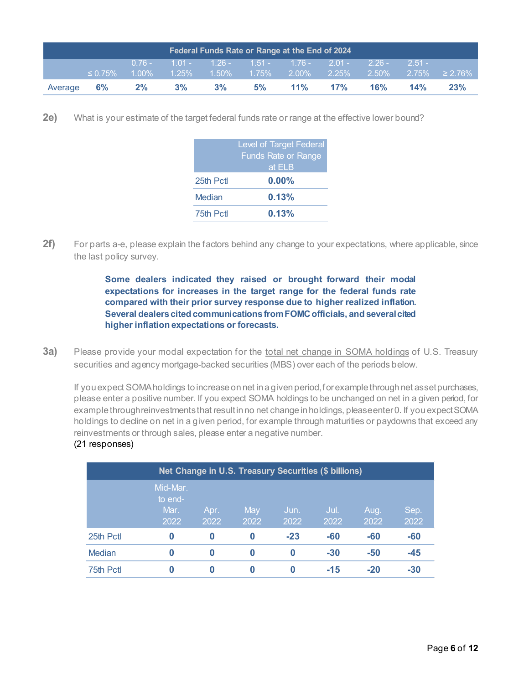| Federal Funds Rate or Range at the End of 2024 |  |             |  |       |                                                           |               |     |     |                                                            |  |  |
|------------------------------------------------|--|-------------|--|-------|-----------------------------------------------------------|---------------|-----|-----|------------------------------------------------------------|--|--|
|                                                |  |             |  |       | $0.76 - 1.01 - 1.26 - 1.51 - 1.76 - 2.01 - 2.26 - 2.51 -$ |               |     |     |                                                            |  |  |
| $\leq 0.75\%$                                  |  |             |  |       |                                                           |               |     |     | $1.00\%$ 1.25% 1.50% 1.75% 2.00% 2.25% 2.50% 2.75% ≥ 2.76% |  |  |
| Average 6%                                     |  | $2\%$ 3% 3% |  | $5\%$ |                                                           | $11\%$ $17\%$ | 16% | 14% | 23%                                                        |  |  |

**2e)** What is your estimate of the target federal funds rate or range at the effective lower bound?

|           | <b>Level of Target Federal</b><br><b>Funds Rate or Range</b><br>at ELB |
|-----------|------------------------------------------------------------------------|
| 25th Pctl | $0.00\%$                                                               |
| Median    | 0.13%                                                                  |
| 75th Pctl | 0.13%                                                                  |

**2f)** For parts a-e, please explain the factors behind any change to your expectations, where applicable, since the last policy survey.

> **Some dealers indicated they raised or brought forward their modal expectations for increases in the target range for the federal funds rate compared with their prior survey response due to higher realized inflation. Several dealers cited communications from FOMC officials, and several cited higher inflation expectations or forecasts.**

<span id="page-5-0"></span>**3a)** Please provide your modal expectation for the total net change in SOMA holdings of U.S. Treasury securities and agency mortgage-backed securities (MBS) over each of the periods below.

If you expect SOMA holdings to increase on net in a given period, for example through net asset purchases, please enter a positive number. If you expect SOMA holdings to be unchanged on net in a given period, for example through reinvestments that result in no net change in holdings, please enter 0. If you expect SOMA holdings to decline on net in a given period, for example through maturities or paydowns that exceed any reinvestments or through sales, please enter a negative number.

|  | (21 responses) |
|--|----------------|
|--|----------------|

|           | Net Change in U.S. Treasury Securities (\$ billions) |              |             |              |              |              |              |  |  |  |  |
|-----------|------------------------------------------------------|--------------|-------------|--------------|--------------|--------------|--------------|--|--|--|--|
|           | Mid-Mar.<br>to end-<br>Mar.<br>2022                  | Apr.<br>2022 | May<br>2022 | Jun.<br>2022 | Jul.<br>2022 | Aug.<br>2022 | Sep.<br>2022 |  |  |  |  |
| 25th Pctl | 0                                                    | 0            | 0           | $-23$        | -60          | $-60$        | $-60$        |  |  |  |  |
| Median    | 0                                                    | $\bf{0}$     | 0           | 0            | $-30$        | $-50$        | $-45$        |  |  |  |  |
| 75th Pctl | 0                                                    | 0            | 0           | 0            | $-15$        | $-20$        | $-30$        |  |  |  |  |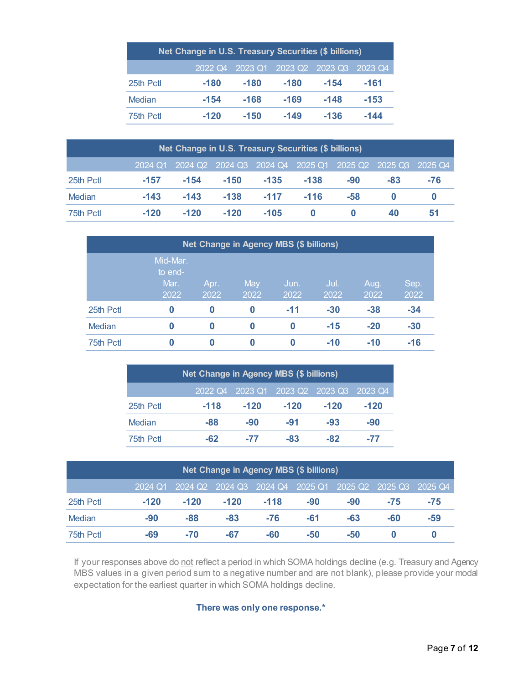| Net Change in U.S. Treasury Securities (\$ billions) |        |        |                                         |        |        |  |  |  |  |  |
|------------------------------------------------------|--------|--------|-----------------------------------------|--------|--------|--|--|--|--|--|
|                                                      |        |        | 2022 Q4 2023 Q1 2023 Q2 2023 Q3 2023 Q4 |        |        |  |  |  |  |  |
| 25th Pctl                                            | $-180$ | $-180$ | $-180$                                  | $-154$ | $-161$ |  |  |  |  |  |
| Median                                               | $-154$ | $-168$ | $-169$                                  | $-148$ | $-153$ |  |  |  |  |  |
| 75th Pctl                                            | $-120$ | $-150$ | $-149$                                  | $-136$ | $-144$ |  |  |  |  |  |

| Net Change in U.S. Treasury Securities (\$ billions) |        |        |        |        |        |       |                                                                 |     |  |  |
|------------------------------------------------------|--------|--------|--------|--------|--------|-------|-----------------------------------------------------------------|-----|--|--|
|                                                      |        |        |        |        |        |       | 2024 Q1 2024 Q2 2024 Q3 2024 Q4 2025 Q1 2025 Q2 2025 Q3 2025 Q4 |     |  |  |
| 25th Pctl                                            | $-157$ | $-154$ | $-150$ | $-135$ | $-138$ | $-90$ | -83                                                             | -76 |  |  |
| Median                                               | $-143$ | $-143$ | $-138$ | $-117$ | $-116$ | $-58$ |                                                                 |     |  |  |
| 75th Pctl                                            | $-120$ | $-120$ | $-120$ | $-105$ |        |       | 40                                                              | 51  |  |  |

|          | <b>Net Change in Agency MBS (\$ billions)</b> |              |             |              |              |              |              |  |  |  |  |
|----------|-----------------------------------------------|--------------|-------------|--------------|--------------|--------------|--------------|--|--|--|--|
|          | Mid-Mar.<br>to end-<br>Mar.<br>2022           | Apr.<br>2022 | May<br>2022 | Jun.<br>2022 | Jul.<br>2022 | Aug.<br>2022 | Sep.<br>2022 |  |  |  |  |
| 25th Pct | $\bf{0}$                                      | $\bf{0}$     | 0           | $-11$        | $-30$        | $-38$        | $-34$        |  |  |  |  |
| Median   | 0                                             | $\bf{0}$     | $\bf{0}$    | 0            | $-15$        | $-20$        | $-30$        |  |  |  |  |
| 75th Pct | 0                                             | $\bf{0}$     | 0           | 0            | $-10$        | $-10$        | $-16$        |  |  |  |  |

| Net Change in Agency MBS (\$ billions) |        |        |        |        |                                         |  |  |  |  |  |
|----------------------------------------|--------|--------|--------|--------|-----------------------------------------|--|--|--|--|--|
|                                        |        |        |        |        | 2022 Q4 2023 Q1 2023 Q2 2023 Q3 2023 Q4 |  |  |  |  |  |
| 25th Pctl                              | $-118$ | $-120$ | $-120$ | $-120$ | $-120$                                  |  |  |  |  |  |
| Median                                 | $-88$  | $-90$  | $-91$  | $-93$  | -90                                     |  |  |  |  |  |
| 75th Pctl                              | -62    | -77    | -83    | $-82$  | -77                                     |  |  |  |  |  |

| Net Change in Agency MBS (\$ billions) |         |        |        |        |                                                 |     |       |         |  |  |
|----------------------------------------|---------|--------|--------|--------|-------------------------------------------------|-----|-------|---------|--|--|
|                                        | 2024 Q1 |        |        |        | 2024 Q2 2024 Q3 2024 Q4 2025 Q1 2025 Q2 2025 Q3 |     |       | 2025 Q4 |  |  |
| 25th Pct                               | $-120$  | $-120$ | $-120$ | $-118$ | -90                                             | -90 | $-75$ | -75     |  |  |
| Median                                 | $-90$   | -88    | $-83$  | $-76$  | -61                                             | -63 | -60   | -59     |  |  |
| 75th Pctl                              | -69     | $-70$  | $-67$  | -60    | $-50$                                           | -50 |       |         |  |  |

If your responses above do not reflect a period in which SOMA holdings decline (e.g. Treasury and Agency MBS values in a given period sum to a negative number and are not blank), please provide your modal expectation for the earliest quarter in which SOMA holdings decline.

**There was only one response.\***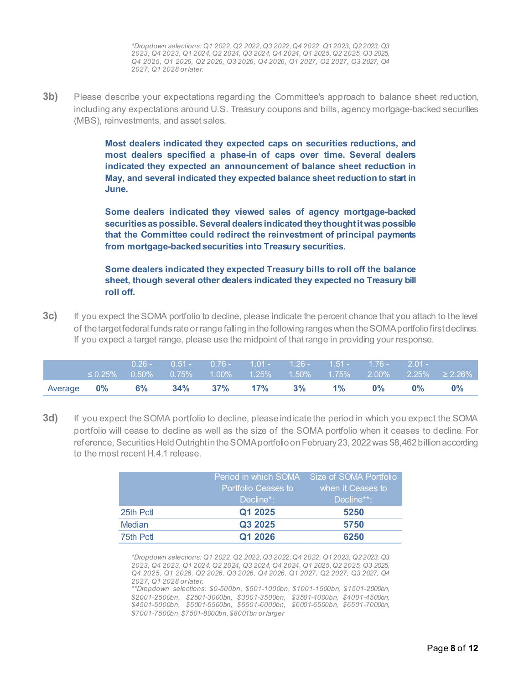*\*Dropdown selections: Q1 2022, Q2 2022, Q3 2022, Q4 2022, Q1 2023, Q2 2023, Q3 2023, Q4 2023, Q1 2024, Q2 2024, Q3 2024, Q4 2024, Q1 2025, Q2 2025, Q3 2025, Q4 2025, Q1 2026, Q2 2026, Q3 2026, Q4 2026, Q1 2027, Q2 2027, Q3 2027, Q4 2027, Q1 2028 or later.*

**3b)** Please describe your expectations regarding the Committee's approach to balance sheet reduction, including any expectations around U.S. Treasury coupons and bills, agency mortgage-backed securities (MBS), reinvestments, and asset sales.

> **Most dealers indicated they expected caps on securities reductions, and most dealers specified a phase-in of caps over time. Several dealers indicated they expected an announcement of balance sheet reduction in May, and several indicated they expected balance sheet reduction to start in June.**

> **Some dealers indicated they viewed sales of agency mortgage-backed securities as possible. Several dealers indicated they thought it was possible that the Committee could redirect the reinvestment of principal payments from mortgage-backed securities into Treasury securities.**

> **Some dealers indicated they expected Treasury bills to roll off the balance sheet, though several other dealers indicated they expected no Treasury bill roll off.**

**3c)** If you expect the SOMA portfolio to decline, please indicate the percent chance that you attach to the level of the target federal funds rate or range falling in the following ranges when the SOMA portfolio first declines. If you expect a target range, please use the midpoint of that range in providing your response.

|                   |               | $0.26 - 0.51 - 0.76 - 1.01 - 1.26 - 1.51 - 1.76 - 2.01 -$ |  |                  |       |       |                                                                         |
|-------------------|---------------|-----------------------------------------------------------|--|------------------|-------|-------|-------------------------------------------------------------------------|
|                   | $\leq 0.25\%$ |                                                           |  |                  |       |       | $\frac{1}{10.50\%}$ 0.75% 1.00% 1.25% 1.50% 1.75% 2.00% 2.25% ≥ 2.26% l |
| Average <b>0%</b> |               | $6\%$ 34% 37% 17% 3%                                      |  | $1\%$ and $\sim$ | $0\%$ | $0\%$ | $0\%$                                                                   |

**3d)** If you expect the SOMA portfolio to decline, please indicate the period in which you expect the SOMA portfolio will cease to decline as well as the size of the SOMA portfolio when it ceases to decline. For reference, Securities Held Outright in the SOMA portfolio on February 23, 2022 was \$8,462 billion according to the most recent H.4.1 release.

|               | Period in which SOMA | Size of SOMA Portfolio |  |  |  |  |
|---------------|----------------------|------------------------|--|--|--|--|
|               | Portfolio Ceases to  | when it Ceases to      |  |  |  |  |
|               | Decline*:            | ≀Decline**: ˈ          |  |  |  |  |
| 25th Pctl     | Q1 2025              | 5250                   |  |  |  |  |
| <b>Median</b> | Q3 2025              | 5750                   |  |  |  |  |
| 75th Pctl     | Q1 2026              | 6250                   |  |  |  |  |

*\*Dropdown selections: Q1 2022, Q2 2022, Q3 2022, Q4 2022, Q1 2023, Q2 2023, Q3 2023, Q4 2023, Q1 2024, Q2 2024, Q3 2024, Q4 2024, Q1 2025, Q2 2025, Q3 2025, Q4 2025, Q1 2026, Q2 2026, Q3 2026, Q4 2026, Q1 2027, Q2 2027, Q3 2027, Q4 2027, Q1 2028 or later.* 

*\*\*Dropdown selections: \$0-500bn, \$501-1000bn, \$1001-1500bn, \$1501-2000bn, \$2001-2500bn, \$2501-3000bn, \$3001-3500bn, \$3501-4000bn, \$4001-4500bn, \$4501-5000bn, \$5001-5500bn, \$5501-6000bn, \$6001-6500bn, \$6501-7000bn, \$7001-7500bn, \$7501-8000bn, \$8001bn or larger*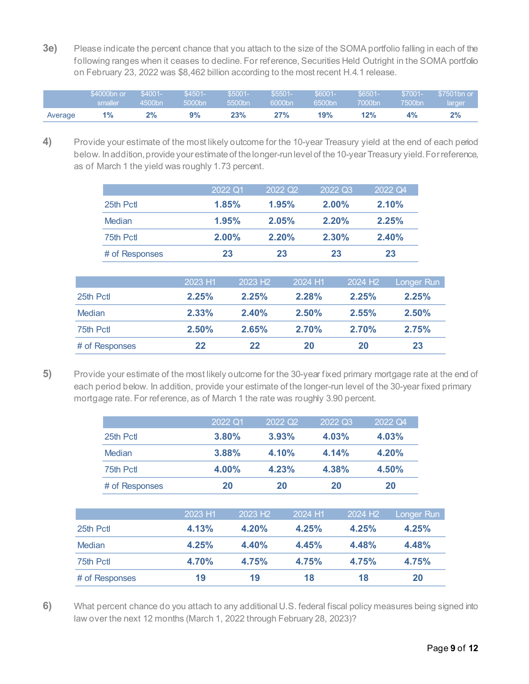**3e)** Please indicate the percent chance that you attach to the size of the SOMA portfolio falling in each of the following ranges when it ceases to decline. For reference, Securities Held Outright in the SOMA portfolio on February 23, 2022 was \$8,462 billion according to the most recent H.4.1 release.

|         | \$4000bn or | $$4001 -$ | $$4501-$     | $$5001 -$ | $$5501-$  | $$6001 -$ | \$6501 | \$7001- | \$7501bn or |
|---------|-------------|-----------|--------------|-----------|-----------|-----------|--------|---------|-------------|
|         | smaller     | 4500bn    | $-5000$ bn ' | 5500bn    | $6000$ bn | 6500bn    | 7000bn | 7500bn  | larger,     |
| Average |             | 2%        | 9%           | 23%       | 27%       | 19%       | 12%    | 4%      | $2\%$       |

<span id="page-8-0"></span>**4)** Provide your estimate of the most likely outcome for the 10-year Treasury yield at the end of each period below. In addition, provide your estimate of the longer-run level of the 10-year Treasury yield. Forreference, as of March 1 the yield was roughly 1.73 percent.

|                | 2022 Q1  | 2022 Q2 | 2022 Q3  | 2022 Q4 |
|----------------|----------|---------|----------|---------|
| 25th Pctl      | 1.85%    | 1.95%   | $2.00\%$ | 2.10%   |
| Median         | 1.95%    | 2.05%   | 2.20%    | 2.25%   |
| 75th Pctl      | $2.00\%$ | 2.20%   | 2.30%    | 2.40%   |
| # of Responses | 23       | 23      | 23       | 23      |

|                | 2023 H1 | 2023 H <sub>2</sub> | 2024 H1  | 2024 H <sub>2</sub> | Longer Run |
|----------------|---------|---------------------|----------|---------------------|------------|
| 25th Pctl      | 2.25%   | 2.25%               | 2.28%    | 2.25%               | 2.25%      |
| <b>Median</b>  | 2.33%   | $2.40\%$            | $2.50\%$ | $2.55\%$            | 2.50%      |
| 75th Pctl      | 2.50%   | 2.65%               | 2.70%    | 2.70%               | 2.75%      |
| # of Responses | 22      | 22                  | 20       | 20                  | 23         |
|                |         |                     |          |                     |            |

<span id="page-8-1"></span>**5)** Provide your estimate of the most likely outcome for the 30-year fixed primary mortgage rate at the end of each period below. In addition, provide your estimate of the longer-run level of the 30-year fixed primary mortgage rate. For reference, as of March 1 the rate was roughly 3.90 percent.

|               |                | 2022 Q1 |                     | 2022 Q2 | 2022 Q3             | 2022 Q4 |            |
|---------------|----------------|---------|---------------------|---------|---------------------|---------|------------|
|               | 25th Pctl      |         | 3.80%               | 3.93%   | 4.03%               | 4.03%   |            |
|               | Median         |         | 3.88%               | 4.10%   | 4.14%               | 4.20%   |            |
|               | 75th Pctl      |         | 4.00%               | 4.23%   | 4.38%               | 4.50%   |            |
|               | # of Responses |         | 20                  | 20      | 20                  | 20      |            |
|               |                | 2023 H1 | 2023 H <sub>2</sub> | 2024 H1 | 2024 H <sub>2</sub> |         | Longer Run |
| 25th Pctl     |                | 4.13%   | 4.20%               | 4.25%   | 4.25%               |         | 4.25%      |
| <b>Median</b> |                | 4.25%   | 4.40%               | 4.45%   | 4.48%               |         | 4.48%      |
| 75th Pctl     |                | 4.70%   | 4.75%               | 4.75%   | 4.75%               |         | 4.75%      |
|               | # of Responses | 19      | 19                  | 18      | 18                  |         | 20         |
|               |                |         |                     |         |                     |         |            |

<span id="page-8-2"></span>**6)** What percent chance do you attach to any additional U.S. federal fiscal policy measures being signed into law over the next 12 months (March 1, 2022 through February 28, 2023)?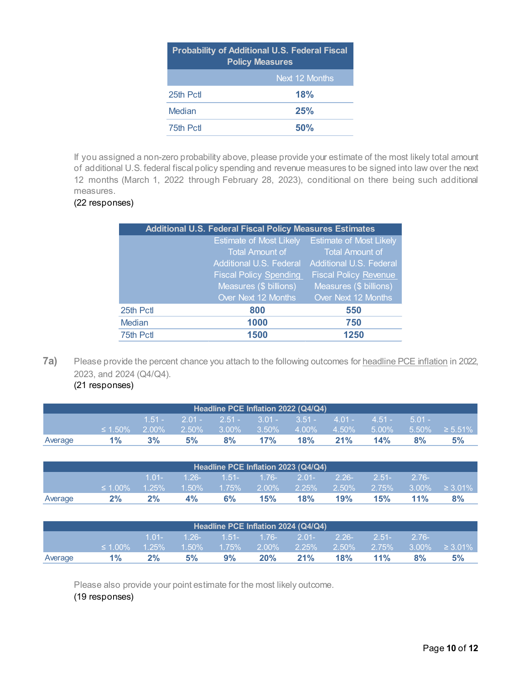| <b>Probability of Additional U.S. Federal Fiscal</b><br><b>Policy Measures</b> |                |  |  |  |
|--------------------------------------------------------------------------------|----------------|--|--|--|
|                                                                                | Next 12 Months |  |  |  |
| 25th Pctl                                                                      | 18%            |  |  |  |
| Median                                                                         | 25%            |  |  |  |
| 75th Pctl                                                                      | 50%            |  |  |  |

If you assigned a non-zero probability above, please provide your estimate of the most likely total amount of additional U.S. federal fiscal policy spending and revenue measures to be signed into law over the next 12 months (March 1, 2022 through February 28, 2023), conditional on there being such additional measures.

### (22 responses)

|           | <b>Additional U.S. Federal Fiscal Policy Measures Estimates</b> |                                |
|-----------|-----------------------------------------------------------------|--------------------------------|
|           | <b>Estimate of Most Likely</b>                                  | <b>Estimate of Most Likely</b> |
|           | <b>Total Amount of</b>                                          | Total Amount of                |
|           | Additional U.S. Federal                                         | Additional U.S. Federal        |
|           | <b>Fiscal Policy Spending</b>                                   | <b>Fiscal Policy Revenue</b>   |
|           | Measures (\$ billions)                                          | Measures (\$ billions)         |
|           | Over Next 12 Months                                             | Over Next 12 Months            |
| 25th Pctl | 800                                                             | 550                            |
| Median    | 1000                                                            | 750                            |
| 75th Pctl | 1500                                                            | 1250                           |
|           |                                                                 |                                |

**7a)** Please provide the percent chance you attach to the following outcomes for headline PCE inflation in 2022, 2023, and 2024 (Q4/Q4).

<span id="page-9-0"></span>(21 responses)

| Headline PCE Inflation 2022 (Q4/Q4) |               |          |    |    |     |                                                    |     |     |             |                                                                   |
|-------------------------------------|---------------|----------|----|----|-----|----------------------------------------------------|-----|-----|-------------|-------------------------------------------------------------------|
|                                     |               |          |    |    |     | $1.51 - 2.01 - 2.51 - 3.01 - 3.51 - 4.01 - 4.51 -$ |     |     | $-5.01 - 4$ |                                                                   |
|                                     | $\leq 1.50\%$ | $2.00\%$ |    |    |     |                                                    |     |     |             | $-2.50\%$ 3.00%   3.50%   4.00%   4.50%   5.00%   5.50%   ≥ 5.51% |
| Average                             | $1\%$         | 3%       | 5% | 8% | 17% | 18%                                                | 21% | 14% | 8%          | 5%                                                                |

|         |               |          |    |                            | Headline PCE Inflation 2023 (Q4/Q4) |          |                             |            |          |                      |
|---------|---------------|----------|----|----------------------------|-------------------------------------|----------|-----------------------------|------------|----------|----------------------|
|         |               | $1.01 -$ |    |                            | $1.26 - 1.51 - 1.76 - 2.01 - 2.26$  |          |                             | $2.51 - 7$ | $-2.76-$ |                      |
|         | $\leq 1.00\%$ | $1.25\%$ |    | $1.50\%$ $1.75\%$ $2.00\%$ |                                     | $2.25\%$ | $\frac{1}{2.50\%}$ 2.75% is |            |          | $3.00\% \geq 3.01\%$ |
| Average | $2\%$         | 2%       | 4% | 6%                         | 15%                                 | 18%      | 19%                         | 15%        | 11%      | 8%                   |

| Headline PCE Inflation 2024 (Q4/Q4) |               |           |    |                            |     |                                |     |           |            |                      |
|-------------------------------------|---------------|-----------|----|----------------------------|-----|--------------------------------|-----|-----------|------------|----------------------|
|                                     |               | $1.01 -$  |    |                            |     | 1.26- 1.51- 1.76- 2.01- 2.26-  |     | $-2.51 -$ | $2.76 - 4$ |                      |
|                                     | $\leq 1.00\%$ | $-1.25\%$ |    | $1.50\%$ $1.75\%$ $2.00\%$ |     | $\frac{1}{2.25\%}$ 2.50% 2.75% |     |           |            | $3.00\% \geq 3.01\%$ |
| Average                             | $1\%$         | 2%        | 5% | 9%                         | 20% | 21%                            | 18% | 11%       | 8%         | 5%                   |

Please also provide your point estimate for the most likely outcome.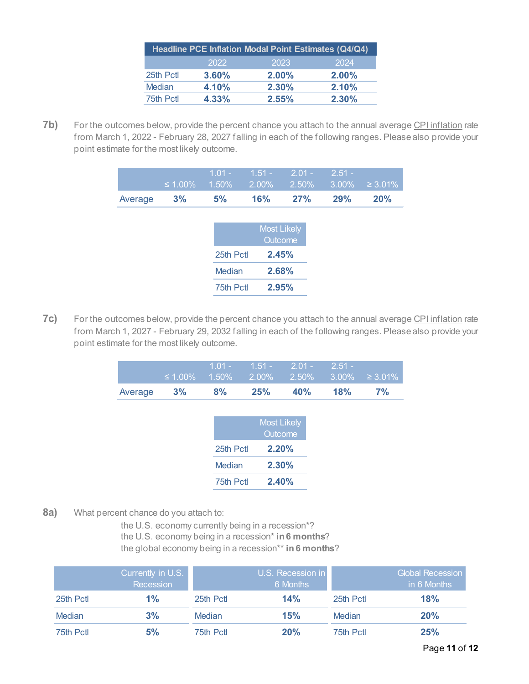|               |       | Headline PCE Inflation Modal Point Estimates (Q4/Q4) |          |
|---------------|-------|------------------------------------------------------|----------|
|               | 2022  | 2023                                                 | 2024     |
| 25th Pctl     | 3.60% | $2.00\%$                                             | $2.00\%$ |
| <b>Median</b> | 4.10% | $2.30\%$                                             | 2.10%    |
| 75th Pctl     | 4.33% | 2.55%                                                | $2.30\%$ |

**7b)** For the outcomes below, provide the percent chance you attach to the annual average CPI inflation rate from March 1, 2022 - February 28, 2027 falling in each of the following ranges. Please also provide your point estimate for the most likely outcome.

|         | $\leq 1.00\%$ | $1.01 -$<br>1.50% | $1.51 -$<br>2.00% | $2.01 -$<br>2.50%  | $2.51 -$<br>3.00% | $\geq 3.01\%$ |
|---------|---------------|-------------------|-------------------|--------------------|-------------------|---------------|
| Average | 3%            | 5%                | 16%               | 27%                | 29%               | <b>20%</b>    |
|         |               |                   |                   |                    |                   |               |
|         |               |                   |                   | <b>Most Likely</b> |                   |               |
|         |               |                   |                   | <b>Outcome</b>     |                   |               |
|         |               | 25th Pctl         |                   | 2.45%              |                   |               |
|         |               | Median            |                   | 2.68%              |                   |               |
|         |               | 75th Pctl         |                   | 2.95%              |                   |               |

**7c)** For the outcomes below, provide the percent chance you attach to the annual average CPI inflation rate from March 1, 2027 - February 29, 2032 falling in each of the following ranges. Please also provide your point estimate for the most likely outcome.

|         |    | $1.01 -$ | $1.51 - 2.01 -$ |     | $-2.51 -$ | $\leq 1.00\%$ 1.50% 2.00% 2.50% 3.00% $\geq 3.01\%$ |
|---------|----|----------|-----------------|-----|-----------|-----------------------------------------------------|
| Average | 3% | 8%       | 25%             | 40% | 18%       | 7%                                                  |
|         |    |          |                 |     |           |                                                     |

|           | <b>Most Likely</b><br>Outcome |
|-----------|-------------------------------|
| 25th Pctl | 2.20%                         |
| Median    | 2.30%                         |
| 75th Pctl | 2.40%                         |

<span id="page-10-0"></span>**8a)** What percent chance do you attach to:

the U.S. economy currently being in a recession\*? the U.S. economy being in a recession\* **in 6 months**? the global economy being in a recession\*\* **in 6 months**?

|           | Currently in U.S.<br>Recession |           | U.S. Recession in<br>6 Months |           | <b>Global Recession</b><br>in 6 Months |
|-----------|--------------------------------|-----------|-------------------------------|-----------|----------------------------------------|
| 25th Pctl | 1%                             | 25th Pctl | 14%                           | 25th Pctl | 18%                                    |
| Median    | 3%                             | Median    | 15%                           | Median    | 20%                                    |
| 75th Pctl | 5%                             | 75th Pctl | 20%                           | 75th Pctl | 25%                                    |